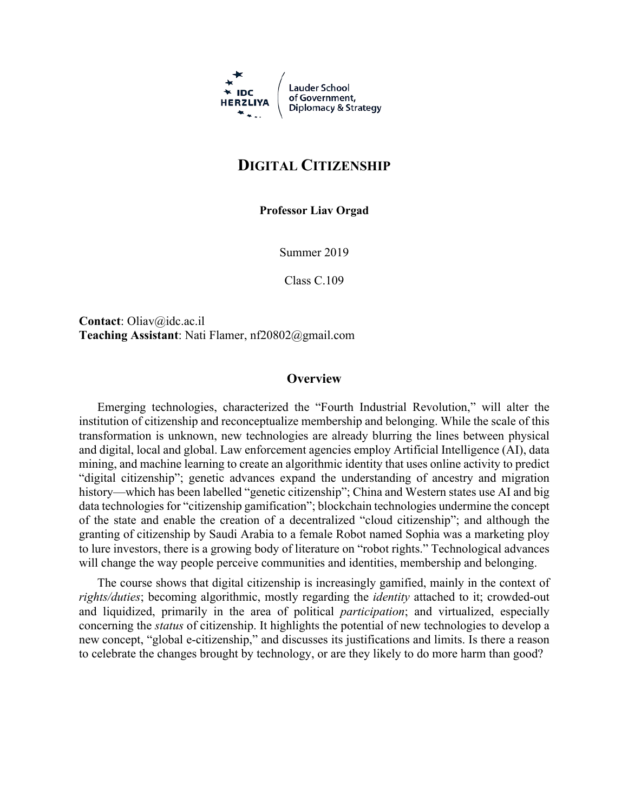

# **DIGITAL CITIZENSHIP**

**Professor Liav Orgad**

Summer 2019

Class C.109

**Contact**: Oliav@idc.ac.il **Teaching Assistant**: Nati Flamer, nf20802@gmail.com

#### **Overview**

Emerging technologies, characterized the "Fourth Industrial Revolution," will alter the institution of citizenship and reconceptualize membership and belonging. While the scale of this transformation is unknown, new technologies are already blurring the lines between physical and digital, local and global. Law enforcement agencies employ Artificial Intelligence (AI), data mining, and machine learning to create an algorithmic identity that uses online activity to predict "digital citizenship"; genetic advances expand the understanding of ancestry and migration history—which has been labelled "genetic citizenship"; China and Western states use AI and big data technologies for "citizenship gamification"; blockchain technologies undermine the concept of the state and enable the creation of a decentralized "cloud citizenship"; and although the granting of citizenship by Saudi Arabia to a female Robot named Sophia was a marketing ploy to lure investors, there is a growing body of literature on "robot rights." Technological advances will change the way people perceive communities and identities, membership and belonging.

The course shows that digital citizenship is increasingly gamified, mainly in the context of *rights/duties*; becoming algorithmic, mostly regarding the *identity* attached to it; crowded-out and liquidized, primarily in the area of political *participation*; and virtualized, especially concerning the *status* of citizenship. It highlights the potential of new technologies to develop a new concept, "global e-citizenship," and discusses its justifications and limits. Is there a reason to celebrate the changes brought by technology, or are they likely to do more harm than good?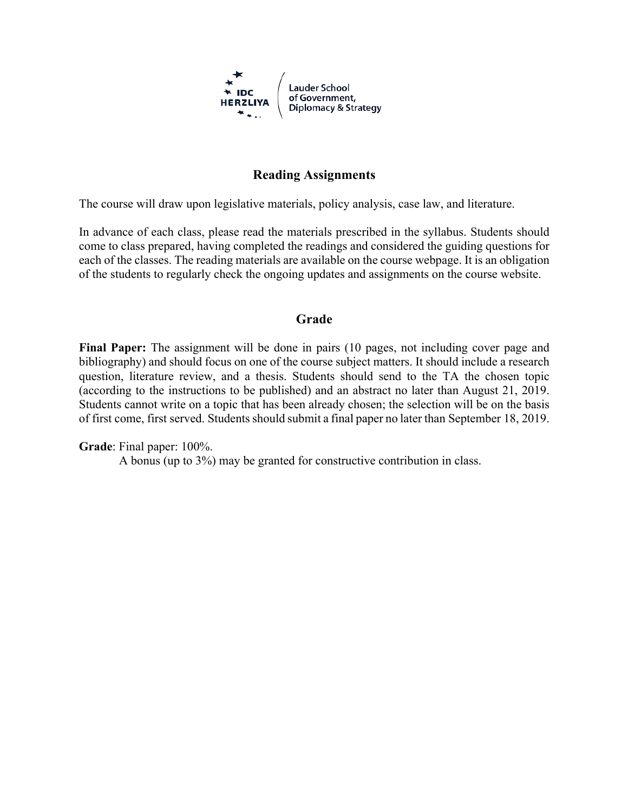

#### **Reading Assignments**

The course will draw upon legislative materials, policy analysis, case law, and literature.

In advance of each class, please read the materials prescribed in the syllabus. Students should come to class prepared, having completed the readings and considered the guiding questions for each of the classes. The reading materials are available on the course webpage. It is an obligation of the students to regularly check the ongoing updates and assignments on the course website.

#### **Grade**

**Final Paper:** The assignment will be done in pairs (10 pages, not including cover page and bibliography) and should focus on one of the course subject matters. It should include a research question, literature review, and a thesis. Students should send to the TA the chosen topic (according to the instructions to be published) and an abstract no later than August 21, 2019. Students cannot write on a topic that has been already chosen; the selection will be on the basis of first come, first served. Students should submit a final paper no later than September 18, 2019.

**Grade**: Final paper: 100%.

A bonus (up to 3%) may be granted for constructive contribution in class.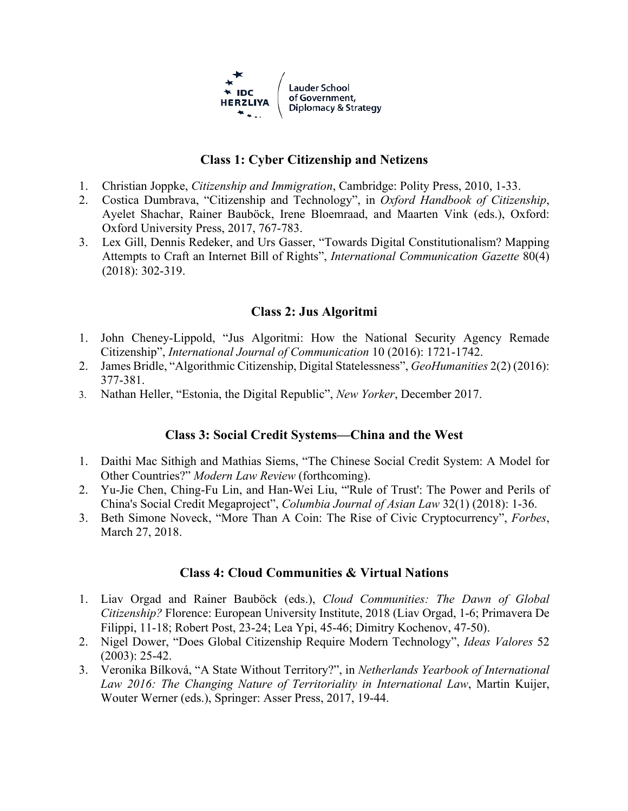

# **Class 1: Cyber Citizenship and Netizens**

- 1. Christian Joppke, *Citizenship and Immigration*, Cambridge: Polity Press, 2010, 1-33.
- 2. Costica Dumbrava, "Citizenship and Technology", in *Oxford Handbook of Citizenship*, Ayelet Shachar, Rainer Bauböck, Irene Bloemraad, and Maarten Vink (eds.), Oxford: Oxford University Press, 2017, 767-783.
- 3. Lex Gill, Dennis Redeker, and Urs Gasser, "Towards Digital Constitutionalism? Mapping Attempts to Craft an Internet Bill of Rights", *International Communication Gazette* 80(4) (2018): 302-319.

# **Class 2: Jus Algoritmi**

- 1. John Cheney-Lippold, "Jus Algoritmi: How the National Security Agency Remade Citizenship", *International Journal of Communication* 10 (2016): 1721-1742.
- 2. James Bridle, "Algorithmic Citizenship, Digital Statelessness", *GeoHumanities* 2(2) (2016): 377-381.
- 3. Nathan Heller, "Estonia, the Digital Republic", *New Yorker*, December 2017.

### **Class 3: Social Credit Systems—China and the West**

- 1. Daithi Mac Sithigh and Mathias Siems, "The Chinese Social Credit System: A Model for Other Countries?" *Modern Law Review* (forthcoming).
- 2. Yu-Jie Chen, Ching-Fu Lin, and Han-Wei Liu, "'Rule of Trust': The Power and Perils of China's Social Credit Megaproject", *Columbia Journal of Asian Law* 32(1) (2018): 1-36.
- 3. Beth Simone Noveck, "More Than A Coin: The Rise of Civic Cryptocurrency", *Forbes*, March 27, 2018.

### **Class 4: Cloud Communities & Virtual Nations**

- 1. Liav Orgad and Rainer Bauböck (eds.), *Cloud Communities: The Dawn of Global Citizenship?* Florence: European University Institute, 2018 (Liav Orgad, 1-6; Primavera De Filippi, 11-18; Robert Post, 23-24; Lea Ypi, 45-46; Dimitry Kochenov, 47-50).
- 2. Nigel Dower, "Does Global Citizenship Require Modern Technology", *Ideas Valores* 52 (2003): 25-42.
- 3. Veronika Bílková, "A State Without Territory?", in *Netherlands Yearbook of International Law 2016: The Changing Nature of Territoriality in International Law*, Martin Kuijer, Wouter Werner (eds.), Springer: Asser Press, 2017, 19-44.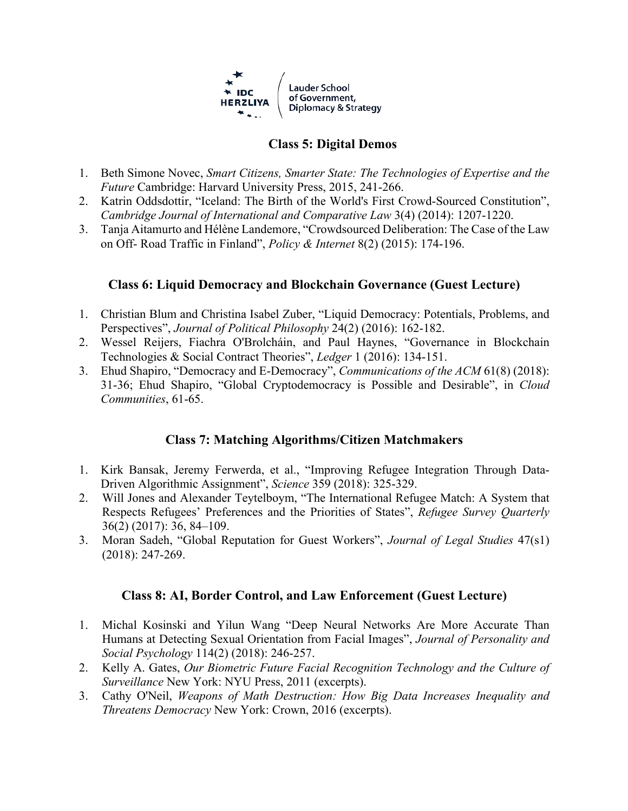

# **Class 5: Digital Demos**

- 1. Beth Simone Novec, *Smart Citizens, Smarter State: The Technologies of Expertise and the Future* Cambridge: Harvard University Press, 2015, 241-266.
- 2. Katrin Oddsdottir, "Iceland: The Birth of the World's First Crowd-Sourced Constitution", *Cambridge Journal of International and Comparative Law* 3(4) (2014): 1207-1220.
- 3. Tanja Aitamurto and Hélène Landemore, "Crowdsourced Deliberation: The Case of the Law on Off- Road Traffic in Finland", *Policy & Internet* 8(2) (2015): 174-196.

# **Class 6: Liquid Democracy and Blockchain Governance (Guest Lecture)**

- 1. Christian Blum and Christina Isabel Zuber, "Liquid Democracy: Potentials, Problems, and Perspectives", *Journal of Political Philosophy* 24(2) (2016): 162-182.
- 2. Wessel Reijers, Fiachra O'Brolcháin, and Paul Haynes, "Governance in Blockchain Technologies & Social Contract Theories", *Ledger* 1 (2016): 134-151.
- 3. Ehud Shapiro, "Democracy and E-Democracy", *Communications of the ACM* 61(8) (2018): 31-36; Ehud Shapiro, "Global Cryptodemocracy is Possible and Desirable", in *Cloud Communities*, 61-65.

# **Class 7: Matching Algorithms/Citizen Matchmakers**

- 1. Kirk Bansak, Jeremy Ferwerda, et al., "Improving Refugee Integration Through Data-Driven Algorithmic Assignment", *Science* 359 (2018): 325-329.
- 2. Will Jones and Alexander Teytelboym, "The International Refugee Match: A System that Respects Refugees' Preferences and the Priorities of States", *Refugee Survey Quarterly* 36(2) (2017): 36, 84–109.
- 3. Moran Sadeh, "Global Reputation for Guest Workers", *Journal of Legal Studies* 47(s1) (2018): 247-269.

# **Class 8: AI, Border Control, and Law Enforcement (Guest Lecture)**

- 1. Michal Kosinski and Yilun Wang "Deep Neural Networks Are More Accurate Than Humans at Detecting Sexual Orientation from Facial Images", *Journal of Personality and Social Psychology* 114(2) (2018): 246-257.
- 2. Kelly A. Gates, *Our Biometric Future Facial Recognition Technology and the Culture of Surveillance* New York: NYU Press, 2011 (excerpts).
- 3. Cathy O'Neil, *Weapons of Math Destruction: How Big Data Increases Inequality and Threatens Democracy* New York: Crown, 2016 (excerpts).